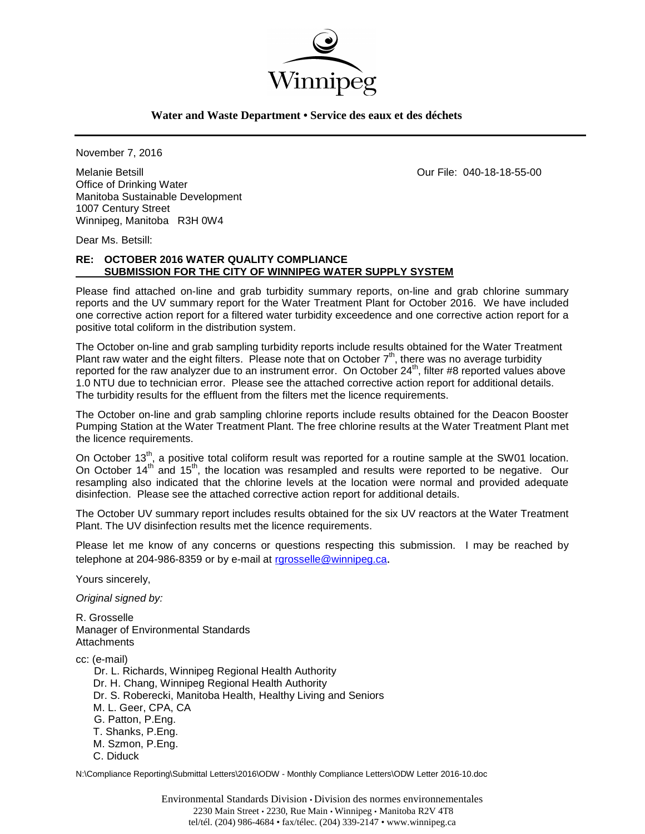

### **Water and Waste Department • Service des eaux et des déchets**

November 7, 2016

Melanie Betsill Our File: 040-18-18-55-00 Office of Drinking Water Manitoba Sustainable Development 1007 Century Street Winnipeg, Manitoba R3H 0W4

Dear Ms. Betsill:

### **RE: OCTOBER 2016 WATER QUALITY COMPLIANCE SUBMISSION FOR THE CITY OF WINNIPEG WATER SUPPLY SYSTEM**

Please find attached on-line and grab turbidity summary reports, on-line and grab chlorine summary reports and the UV summary report for the Water Treatment Plant for October 2016. We have included one corrective action report for a filtered water turbidity exceedence and one corrective action report for a positive total coliform in the distribution system.

The October on-line and grab sampling turbidity reports include results obtained for the Water Treatment Plant raw water and the eight filters. Please note that on October  $7<sup>th</sup>$ , there was no average turbidity reported for the raw analyzer due to an instrument error. On October 24<sup>th</sup>, filter #8 reported values above 1.0 NTU due to technician error. Please see the attached corrective action report for additional details. The turbidity results for the effluent from the filters met the licence requirements.

The October on-line and grab sampling chlorine reports include results obtained for the Deacon Booster Pumping Station at the Water Treatment Plant. The free chlorine results at the Water Treatment Plant met the licence requirements.

On October 13<sup>th</sup>, a positive total coliform result was reported for a routine sample at the SW01 location. On October 14<sup>th</sup> and 15<sup>th</sup>, the location was resampled and results were reported to be negative. Our resampling also indicated that the chlorine levels at the location were normal and provided adequate disinfection. Please see the attached corrective action report for additional details.

The October UV summary report includes results obtained for the six UV reactors at the Water Treatment Plant. The UV disinfection results met the licence requirements.

Please let me know of any concerns or questions respecting this submission. I may be reached by telephone at 204-986-8359 or by e-mail at [rgrosselle@winnipeg.ca](mailto:rgrosselle@winnipeg.ca).

Yours sincerely,

*Original signed by:*

R. Grosselle Manager of Environmental Standards **Attachments** 

cc: (e-mail)

 Dr. L. Richards, Winnipeg Regional Health Authority Dr. H. Chang, Winnipeg Regional Health Authority Dr. S. Roberecki, Manitoba Health, Healthy Living and Seniors M. L. Geer, CPA, CA G. Patton, P.Eng. T. Shanks, P.Eng. M. Szmon, P.Eng. C. Diduck

N:\Compliance Reporting\Submittal Letters\2016\ODW - Monthly Compliance Letters\ODW Letter 2016-10.doc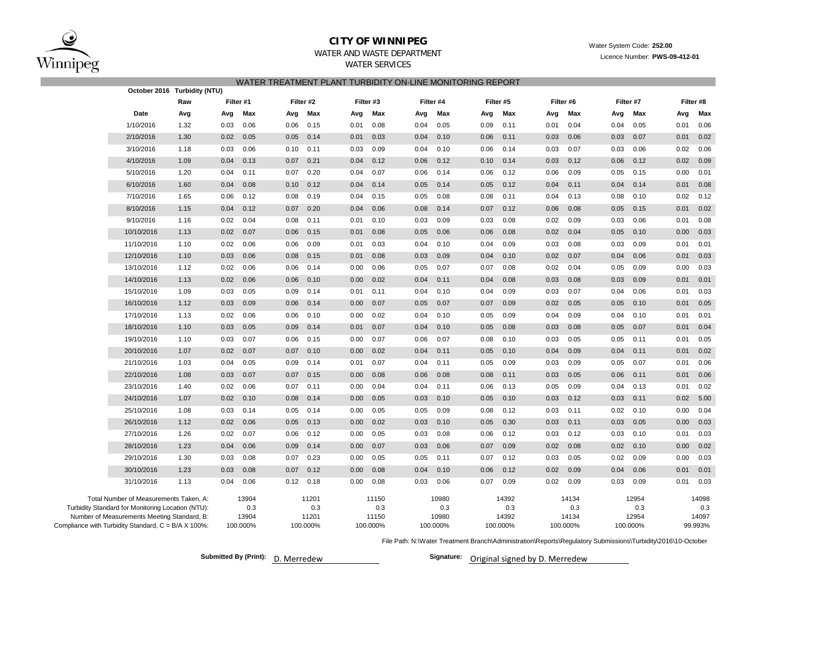

# **CITY OF WINNIPEG** WATER WATER WATER System Code: 252.00

# WATER AND WASTE DEPARTMENT Licence Number: **PWS-09-412-01**

# WATER SERVICES

|                                                     |                                                                                             | October 2016 Turbidity (NTU) |      |                       |      |                       | WATER TREATMENT PLANT TURBIDITY ON-LINE MONITORING REPORT |                       |      |                       |      |                       |           |                       |      |                       |      |                       |
|-----------------------------------------------------|---------------------------------------------------------------------------------------------|------------------------------|------|-----------------------|------|-----------------------|-----------------------------------------------------------|-----------------------|------|-----------------------|------|-----------------------|-----------|-----------------------|------|-----------------------|------|-----------------------|
|                                                     |                                                                                             | Raw                          |      | Filter #1             |      | Filter #2             | Filter #3                                                 |                       |      | Filter #4             |      | Filter #5             | Filter #6 |                       |      | Filter #7             |      | Filter #8             |
|                                                     | Date                                                                                        | Avg                          | Avg  | Max                   | Avg  | Max                   | Avg                                                       | Max                   | Avg  | Max                   | Avg  | Max                   | Avg       | Max                   | Avg  | Max                   | Avg  | Max                   |
|                                                     | 1/10/2016                                                                                   | 1.32                         | 0.03 | 0.06                  | 0.06 | 0.15                  | 0.01                                                      | 0.08                  | 0.04 | 0.05                  | 0.09 | 0.11                  | 0.01      | 0.04                  | 0.04 | 0.05                  | 0.01 | 0.06                  |
|                                                     | 2/10/2016                                                                                   | 1.30                         | 0.02 | 0.05                  | 0.05 | 0.14                  | 0.01                                                      | 0.03                  | 0.04 | 0.10                  | 0.06 | 0.11                  | 0.03      | 0.06                  | 0.03 | 0.07                  | 0.01 | 0.02                  |
|                                                     | 3/10/2016                                                                                   | 1.18                         | 0.03 | 0.06                  | 0.10 | 0.11                  | 0.03                                                      | 0.09                  | 0.04 | 0.10                  | 0.06 | 0.14                  | 0.03      | 0.07                  | 0.03 | 0.06                  | 0.02 | 0.06                  |
|                                                     | 4/10/2016                                                                                   | 1.09                         | 0.04 | 0.13                  | 0.07 | 0.21                  | 0.04                                                      | 0.12                  | 0.06 | 0.12                  | 0.10 | 0.14                  | 0.03      | 0.12                  | 0.06 | 0.12                  | 0.02 | 0.09                  |
|                                                     | 5/10/2016                                                                                   | 1.20                         | 0.04 | 0.11                  | 0.07 | 0.20                  | 0.04                                                      | 0.07                  | 0.06 | 0.14                  | 0.06 | 0.12                  | 0.06      | 0.09                  | 0.05 | 0.15                  | 0.00 | 0.01                  |
|                                                     | 6/10/2016                                                                                   | 1.60                         | 0.04 | 0.08                  | 0.10 | 0.12                  | 0.04                                                      | 0.14                  | 0.05 | 0.14                  | 0.05 | 0.12                  | 0.04      | 0.11                  | 0.04 | 0.14                  | 0.01 | 0.08                  |
|                                                     | 7/10/2016                                                                                   | 1.65                         | 0.06 | 0.12                  | 0.08 | 0.19                  | 0.04                                                      | 0.15                  | 0.05 | 0.08                  | 0.08 | 0.11                  | 0.04      | 0.13                  | 0.08 | 0.10                  | 0.02 | 0.12                  |
|                                                     | 8/10/2016                                                                                   | 1.15                         | 0.04 | 0.12                  | 0.07 | 0.20                  | 0.04                                                      | 0.06                  | 0.08 | 0.14                  | 0.07 | 0.12                  | 0.06      | 0.08                  | 0.05 | 0.15                  | 0.01 | 0.02                  |
|                                                     | 9/10/2016                                                                                   | 1.16                         | 0.02 | 0.04                  | 0.08 | 0.11                  | 0.01                                                      | 0.10                  | 0.03 | 0.09                  | 0.03 | 0.08                  | 0.02      | 0.09                  | 0.03 | 0.06                  | 0.01 | 0.08                  |
|                                                     | 10/10/2016                                                                                  | 1.13                         | 0.02 | 0.07                  | 0.06 | 0.15                  | 0.01                                                      | 0.08                  | 0.05 | 0.06                  | 0.06 | 0.08                  | 0.02      | 0.04                  | 0.05 | 0.10                  | 0.00 | 0.03                  |
|                                                     | 11/10/2016                                                                                  | 1.10                         | 0.02 | 0.06                  | 0.06 | 0.09                  | 0.01                                                      | 0.03                  | 0.04 | 0.10                  | 0.04 | 0.09                  | 0.03      | 0.08                  | 0.03 | 0.09                  | 0.01 | 0.01                  |
|                                                     | 12/10/2016                                                                                  | 1.10                         | 0.03 | 0.06                  | 0.08 | 0.15                  | 0.01                                                      | 0.08                  | 0.03 | 0.09                  | 0.04 | 0.10                  | 0.02      | 0.07                  | 0.04 | 0.06                  | 0.01 | 0.03                  |
|                                                     | 13/10/2016                                                                                  | 1.12                         | 0.02 | 0.06                  | 0.06 | 0.14                  | 0.00                                                      | 0.06                  | 0.05 | 0.07                  | 0.07 | 0.08                  | 0.02      | 0.04                  | 0.05 | 0.09                  | 0.00 | 0.03                  |
|                                                     | 14/10/2016                                                                                  | 1.13                         | 0.02 | 0.06                  | 0.06 | 0.10                  | 0.00                                                      | 0.02                  | 0.04 | 0.11                  | 0.04 | 0.08                  | 0.03      | 0.08                  | 0.03 | 0.09                  | 0.01 | 0.01                  |
|                                                     | 15/10/2016                                                                                  | 1.09                         | 0.03 | 0.05                  | 0.09 | 0.14                  | 0.01                                                      | 0.11                  | 0.04 | 0.10                  | 0.04 | 0.09                  | 0.03      | 0.07                  | 0.04 | 0.06                  | 0.01 | 0.03                  |
|                                                     | 16/10/2016                                                                                  | 1.12                         | 0.03 | 0.09                  | 0.06 | 0.14                  | 0.00                                                      | 0.07                  | 0.05 | 0.07                  | 0.07 | 0.09                  | 0.02      | 0.05                  | 0.05 | 0.10                  | 0.01 | 0.05                  |
|                                                     | 17/10/2016                                                                                  | 1.13                         | 0.02 | 0.06                  | 0.06 | 0.10                  | 0.00                                                      | 0.02                  | 0.04 | 0.10                  | 0.05 | 0.09                  | 0.04      | 0.09                  | 0.04 | 0.10                  | 0.01 | 0.01                  |
|                                                     | 18/10/2016                                                                                  | 1.10                         | 0.03 | 0.05                  | 0.09 | 0.14                  | 0.01                                                      | 0.07                  | 0.04 | 0.10                  | 0.05 | 0.08                  | 0.03      | 0.08                  | 0.05 | 0.07                  | 0.01 | 0.04                  |
|                                                     | 19/10/2016                                                                                  | 1.10                         | 0.03 | 0.07                  | 0.06 | 0.15                  | 0.00                                                      | 0.07                  | 0.06 | 0.07                  | 0.08 | 0.10                  | 0.03      | 0.05                  | 0.05 | 0.11                  | 0.01 | 0.05                  |
|                                                     | 20/10/2016                                                                                  | 1.07                         | 0.02 | 0.07                  | 0.07 | 0.10                  | 0.00                                                      | 0.02                  | 0.04 | 0.11                  | 0.05 | 0.10                  | 0.04      | 0.09                  | 0.04 | 0.11                  | 0.01 | 0.02                  |
|                                                     | 21/10/2016                                                                                  | 1.03                         | 0.04 | 0.05                  | 0.09 | 0.14                  | 0.01                                                      | 0.07                  | 0.04 | 0.11                  | 0.05 | 0.09                  | 0.03      | 0.09                  | 0.05 | 0.07                  | 0.01 | 0.06                  |
|                                                     | 22/10/2016                                                                                  | 1.08                         | 0.03 | 0.07                  | 0.07 | 0.15                  | 0.00                                                      | 0.08                  | 0.06 | 0.08                  | 0.08 | 0.11                  | 0.03      | 0.05                  | 0.06 | 0.11                  | 0.01 | 0.06                  |
|                                                     | 23/10/2016                                                                                  | 1.40                         | 0.02 | 0.06                  | 0.07 | 0.11                  | 0.00                                                      | 0.04                  | 0.04 | 0.11                  | 0.06 | 0.13                  | 0.05      | 0.09                  | 0.04 | 0.13                  | 0.01 | 0.02                  |
|                                                     | 24/10/2016                                                                                  | 1.07                         | 0.02 | 0.10                  | 0.08 | 0.14                  | 0.00                                                      | 0.05                  | 0.03 | 0.10                  | 0.05 | 0.10                  | 0.03      | 0.12                  | 0.03 | 0.11                  | 0.02 | 5.00                  |
|                                                     | 25/10/2016                                                                                  | 1.08                         | 0.03 | 0.14                  | 0.05 | 0.14                  | 0.00                                                      | 0.05                  | 0.05 | 0.09                  | 0.08 | 0.12                  | 0.03      | 0.11                  | 0.02 | 0.10                  | 0.00 | 0.04                  |
|                                                     | 26/10/2016                                                                                  | 1.12                         | 0.02 | 0.06                  | 0.05 | 0.13                  | 0.00                                                      | 0.02                  | 0.03 | 0.10                  | 0.05 | 0.30                  | 0.03      | 0.11                  | 0.03 | 0.05                  | 0.00 | 0.03                  |
|                                                     | 27/10/2016                                                                                  | 1.26                         | 0.02 | 0.07                  | 0.06 | 0.12                  | 0.00                                                      | 0.05                  | 0.03 | 0.08                  | 0.06 | 0.12                  | 0.03      | 0.12                  | 0.03 | 0.10                  | 0.01 | 0.03                  |
|                                                     | 28/10/2016                                                                                  | 1.23                         | 0.04 | 0.06                  | 0.09 | 0.14                  | 0.00                                                      | 0.07                  | 0.03 | 0.06                  | 0.07 | 0.09                  | 0.02      | 0.08                  | 0.02 | 0.10                  | 0.00 | 0.02                  |
|                                                     | 29/10/2016                                                                                  | 1.30                         | 0.03 | 0.08                  | 0.07 | 0.23                  | 0.00                                                      | 0.05                  | 0.05 | 0.11                  | 0.07 | 0.12                  | 0.03      | 0.05                  | 0.02 | 0.09                  | 0.00 | 0.03                  |
|                                                     | 30/10/2016                                                                                  | 1.23                         | 0.03 | 0.08                  | 0.07 | 0.12                  | 0.00                                                      | 0.08                  | 0.04 | 0.10                  | 0.06 | 0.12                  | 0.02      | 0.09                  | 0.04 | 0.06                  | 0.01 | 0.01                  |
|                                                     | 31/10/2016                                                                                  | 1.13                         | 0.04 | 0.06                  | 0.12 | 0.18                  | 0.00                                                      | 0.08                  | 0.03 | 0.06                  | 0.07 | 0.09                  | 0.02      | 0.09                  | 0.03 | 0.09                  | 0.01 | 0.03                  |
|                                                     | Total Number of Measurements Taken, A:<br>Turbidity Standard for Monitoring Location (NTU): |                              |      | 13904<br>0.3<br>13904 |      | 11201<br>0.3<br>11201 |                                                           | 11150<br>0.3<br>11150 |      | 10980<br>0.3<br>10980 |      | 14392<br>0.3<br>14392 |           | 14134<br>0.3<br>14134 |      | 12954<br>0.3<br>12954 |      | 14098<br>0.3<br>14097 |
| Compliance with Turbidity Standard, C = B/A X 100%: | Number of Measurements Meeting Standard, B:                                                 |                              |      | 100.000%              |      | 100.000%              |                                                           | 100.000%              |      | 100.000%              |      | 100.000%              |           | 100.000%              |      | 100.000%              |      | 99.993%               |

File Path: N:\Water Treatment Branch\Administration\Reports\Regulatory Submissions\Turbidity\2016\10-October

**Submitted By (Print):** D. Merredew

Signature: Original signed by D. Merredew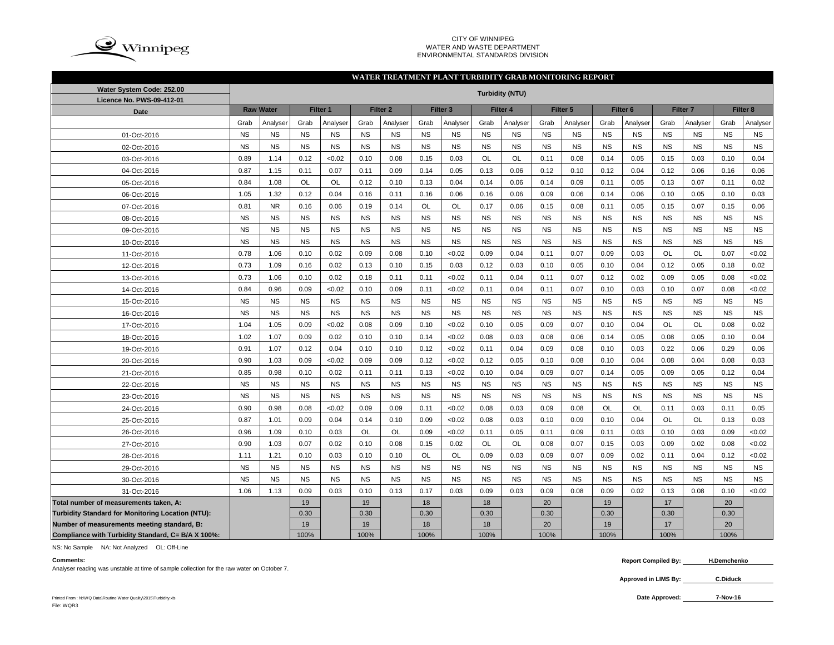

#### CITY OF WINNIPEG WATER AND WASTE DEPARTMENT ENVIRONMENTAL STANDARDS DIVISION

#### **WATER TREATMENT PLANT TURBIDITY GRAB MONITORING REPORT**

| Water System Code: 252.00                          | <b>Turbidity (NTU)</b> |                  |           |           |           |                     |           |                     |           |           |           |           |           |                     |           |                     |           |           |
|----------------------------------------------------|------------------------|------------------|-----------|-----------|-----------|---------------------|-----------|---------------------|-----------|-----------|-----------|-----------|-----------|---------------------|-----------|---------------------|-----------|-----------|
| Licence No. PWS-09-412-01                          |                        | <b>Raw Water</b> |           | Filter 1  |           | Filter <sub>2</sub> |           | Filter <sub>3</sub> |           | Filter 4  |           | Filter 5  |           | Filter <sub>6</sub> |           | Filter <sub>7</sub> |           | Filter 8  |
| Date                                               |                        |                  |           |           | Grab      |                     |           |                     |           |           |           |           |           |                     |           |                     | Grab      |           |
|                                                    | Grab                   | Analyser         | Grab      | Analyser  |           | Analyser            | Grab      | Analyser            | Grab      | Analyser  | Grab      | Analyser  | Grab      | Analyser            | Grab      | Analyser            |           | Analyser  |
| 01-Oct-2016                                        | <b>NS</b>              | <b>NS</b>        | <b>NS</b> | <b>NS</b> | <b>NS</b> | <b>NS</b>           | <b>NS</b> | <b>NS</b>           | <b>NS</b> | <b>NS</b> | <b>NS</b> | <b>NS</b> | <b>NS</b> | <b>NS</b>           | <b>NS</b> | <b>NS</b>           | <b>NS</b> | <b>NS</b> |
| 02-Oct-2016                                        | <b>NS</b>              | <b>NS</b>        | <b>NS</b> | <b>NS</b> | <b>NS</b> | <b>NS</b>           | <b>NS</b> | <b>NS</b>           | <b>NS</b> | <b>NS</b> | <b>NS</b> | <b>NS</b> | <b>NS</b> | <b>NS</b>           | <b>NS</b> | <b>NS</b>           | <b>NS</b> | <b>NS</b> |
| 03-Oct-2016                                        | 0.89                   | 1.14             | 0.12      | <0.02     | 0.10      | 0.08                | 0.15      | 0.03                | OL        | OL        | 0.11      | 0.08      | 0.14      | 0.05                | 0.15      | 0.03                | 0.10      | 0.04      |
| 04-Oct-2016                                        | 0.87                   | 1.15             | 0.11      | 0.07      | 0.11      | 0.09                | 0.14      | 0.05                | 0.13      | 0.06      | 0.12      | 0.10      | 0.12      | 0.04                | 0.12      | 0.06                | 0.16      | 0.06      |
| 05-Oct-2016                                        | 0.84                   | 1.08             | OL        | <b>OL</b> | 0.12      | 0.10                | 0.13      | 0.04                | 0.14      | 0.06      | 0.14      | 0.09      | 0.11      | 0.05                | 0.13      | 0.07                | 0.11      | 0.02      |
| 06-Oct-2016                                        | 1.05                   | 1.32             | 0.12      | 0.04      | 0.16      | 0.11                | 0.16      | 0.06                | 0.16      | 0.06      | 0.09      | 0.06      | 0.14      | 0.06                | 0.10      | 0.05                | 0.10      | 0.03      |
| 07-Oct-2016                                        | 0.81                   | <b>NR</b>        | 0.16      | 0.06      | 0.19      | 0.14                | OL        | OL                  | 0.17      | 0.06      | 0.15      | 0.08      | 0.11      | 0.05                | 0.15      | 0.07                | 0.15      | 0.06      |
| 08-Oct-2016                                        | <b>NS</b>              | <b>NS</b>        | <b>NS</b> | <b>NS</b> | <b>NS</b> | <b>NS</b>           | <b>NS</b> | <b>NS</b>           | <b>NS</b> | <b>NS</b> | <b>NS</b> | <b>NS</b> | <b>NS</b> | <b>NS</b>           | <b>NS</b> | <b>NS</b>           | <b>NS</b> | <b>NS</b> |
| 09-Oct-2016                                        | <b>NS</b>              | <b>NS</b>        | <b>NS</b> | <b>NS</b> | <b>NS</b> | <b>NS</b>           | <b>NS</b> | <b>NS</b>           | <b>NS</b> | <b>NS</b> | <b>NS</b> | <b>NS</b> | <b>NS</b> | <b>NS</b>           | <b>NS</b> | <b>NS</b>           | <b>NS</b> | <b>NS</b> |
| 10-Oct-2016                                        | <b>NS</b>              | <b>NS</b>        | <b>NS</b> | <b>NS</b> | <b>NS</b> | <b>NS</b>           | <b>NS</b> | <b>NS</b>           | <b>NS</b> | <b>NS</b> | <b>NS</b> | <b>NS</b> | <b>NS</b> | <b>NS</b>           | <b>NS</b> | <b>NS</b>           | <b>NS</b> | <b>NS</b> |
| 11-Oct-2016                                        | 0.78                   | 1.06             | 0.10      | 0.02      | 0.09      | 0.08                | 0.10      | < 0.02              | 0.09      | 0.04      | 0.11      | 0.07      | 0.09      | 0.03                | <b>OL</b> | <b>OL</b>           | 0.07      | <0.02     |
| 12-Oct-2016                                        | 0.73                   | 1.09             | 0.16      | 0.02      | 0.13      | 0.10                | 0.15      | 0.03                | 0.12      | 0.03      | 0.10      | 0.05      | 0.10      | 0.04                | 0.12      | 0.05                | 0.18      | 0.02      |
| 13-Oct-2016                                        | 0.73                   | 1.06             | 0.10      | 0.02      | 0.18      | 0.11                | 0.11      | < 0.02              | 0.11      | 0.04      | 0.11      | 0.07      | 0.12      | 0.02                | 0.09      | 0.05                | 0.08      | <0.02     |
| 14-Oct-2016                                        | 0.84                   | 0.96             | 0.09      | < 0.02    | 0.10      | 0.09                | 0.11      | < 0.02              | 0.11      | 0.04      | 0.11      | 0.07      | 0.10      | 0.03                | 0.10      | 0.07                | 0.08      | <0.02     |
| 15-Oct-2016                                        | <b>NS</b>              | <b>NS</b>        | <b>NS</b> | <b>NS</b> | <b>NS</b> | <b>NS</b>           | <b>NS</b> | <b>NS</b>           | <b>NS</b> | <b>NS</b> | <b>NS</b> | <b>NS</b> | <b>NS</b> | <b>NS</b>           | <b>NS</b> | <b>NS</b>           | <b>NS</b> | <b>NS</b> |
| 16-Oct-2016                                        | <b>NS</b>              | <b>NS</b>        | <b>NS</b> | <b>NS</b> | <b>NS</b> | <b>NS</b>           | <b>NS</b> | <b>NS</b>           | <b>NS</b> | <b>NS</b> | <b>NS</b> | <b>NS</b> | <b>NS</b> | <b>NS</b>           | <b>NS</b> | <b>NS</b>           | <b>NS</b> | <b>NS</b> |
| 17-Oct-2016                                        | 1.04                   | 1.05             | 0.09      | < 0.02    | 0.08      | 0.09                | 0.10      | < 0.02              | 0.10      | 0.05      | 0.09      | 0.07      | 0.10      | 0.04                | OL        | OL                  | 0.08      | 0.02      |
| 18-Oct-2016                                        | 1.02                   | 1.07             | 0.09      | 0.02      | 0.10      | 0.10                | 0.14      | < 0.02              | 0.08      | 0.03      | 0.08      | 0.06      | 0.14      | 0.05                | 0.08      | 0.05                | 0.10      | 0.04      |
| 19-Oct-2016                                        | 0.91                   | 1.07             | 0.12      | 0.04      | 0.10      | 0.10                | 0.12      | < 0.02              | 0.11      | 0.04      | 0.09      | 0.08      | 0.10      | 0.03                | 0.22      | 0.06                | 0.29      | 0.06      |
| 20-Oct-2016                                        | 0.90                   | 1.03             | 0.09      | < 0.02    | 0.09      | 0.09                | 0.12      | < 0.02              | 0.12      | 0.05      | 0.10      | 0.08      | 0.10      | 0.04                | 0.08      | 0.04                | 0.08      | 0.03      |
| 21-Oct-2016                                        | 0.85                   | 0.98             | 0.10      | 0.02      | 0.11      | 0.11                | 0.13      | < 0.02              | 0.10      | 0.04      | 0.09      | 0.07      | 0.14      | 0.05                | 0.09      | 0.05                | 0.12      | 0.04      |
| 22-Oct-2016                                        | <b>NS</b>              | <b>NS</b>        | <b>NS</b> | <b>NS</b> | <b>NS</b> | <b>NS</b>           | <b>NS</b> | <b>NS</b>           | <b>NS</b> | <b>NS</b> | <b>NS</b> | <b>NS</b> | <b>NS</b> | <b>NS</b>           | <b>NS</b> | <b>NS</b>           | <b>NS</b> | <b>NS</b> |
| 23-Oct-2016                                        | <b>NS</b>              | <b>NS</b>        | <b>NS</b> | <b>NS</b> | <b>NS</b> | <b>NS</b>           | <b>NS</b> | <b>NS</b>           | <b>NS</b> | <b>NS</b> | <b>NS</b> | <b>NS</b> | <b>NS</b> | <b>NS</b>           | <b>NS</b> | <b>NS</b>           | <b>NS</b> | <b>NS</b> |
| 24-Oct-2016                                        | 0.90                   | 0.98             | 0.08      | < 0.02    | 0.09      | 0.09                | 0.11      | < 0.02              | 0.08      | 0.03      | 0.09      | 0.08      | <b>OL</b> | <b>OL</b>           | 0.11      | 0.03                | 0.11      | 0.05      |
| 25-Oct-2016                                        | 0.87                   | 1.01             | 0.09      | 0.04      | 0.14      | 0.10                | 0.09      | < 0.02              | 0.08      | 0.03      | 0.10      | 0.09      | 0.10      | 0.04                | OL        | <b>OL</b>           | 0.13      | 0.03      |
| 26-Oct-2016                                        | 0.96                   | 1.09             | 0.10      | 0.03      | OL        | OL                  | 0.09      | < 0.02              | 0.11      | 0.05      | 0.11      | 0.09      | 0.11      | 0.03                | 0.10      | 0.03                | 0.09      | <0.02     |
| 27-Oct-2016                                        | 0.90                   | 1.03             | 0.07      | 0.02      | 0.10      | 0.08                | 0.15      | 0.02                | OL        | OL        | 0.08      | 0.07      | 0.15      | 0.03                | 0.09      | 0.02                | 0.08      | <0.02     |
| 28-Oct-2016                                        | 1.11                   | 1.21             | 0.10      | 0.03      | 0.10      | 0.10                | OL        | OL                  | 0.09      | 0.03      | 0.09      | 0.07      | 0.09      | 0.02                | 0.11      | 0.04                | 0.12      | <0.02     |
| 29-Oct-2016                                        | <b>NS</b>              | <b>NS</b>        | <b>NS</b> | <b>NS</b> | <b>NS</b> | <b>NS</b>           | <b>NS</b> | <b>NS</b>           | <b>NS</b> | <b>NS</b> | <b>NS</b> | <b>NS</b> | <b>NS</b> | <b>NS</b>           | <b>NS</b> | <b>NS</b>           | <b>NS</b> | <b>NS</b> |
| 30-Oct-2016                                        | <b>NS</b>              | <b>NS</b>        | <b>NS</b> | <b>NS</b> | <b>NS</b> | <b>NS</b>           | <b>NS</b> | <b>NS</b>           | <b>NS</b> | <b>NS</b> | <b>NS</b> | <b>NS</b> | <b>NS</b> | <b>NS</b>           | <b>NS</b> | <b>NS</b>           | <b>NS</b> | <b>NS</b> |
| 31-Oct-2016                                        | 1.06                   | 1.13             | 0.09      | 0.03      | 0.10      | 0.13                | 0.17      | 0.03                | 0.09      | 0.03      | 0.09      | 0.08      | 0.09      | 0.02                | 0.13      | 0.08                | 0.10      | <0.02     |
| Total number of measurements taken, A:             |                        |                  | 19        |           | 19        |                     | 18        |                     | 18        |           | 20        |           | 19        |                     | 17        |                     | 20        |           |
| Turbidity Standard for Monitoring Location (NTU):  |                        |                  | 0.30      |           | 0.30      |                     | 0.30      |                     | 0.30      |           | 0.30      |           | 0.30      |                     | 0.30      |                     | 0.30      |           |
| Number of measurements meeting standard, B:        |                        |                  | 19        |           | 19        |                     | 18        |                     | 18        |           | 20        |           | 19        |                     | 17        |                     | 20        |           |
| Compliance with Turbidity Standard, C= B/A X 100%: |                        |                  | 100%      |           | 100%      |                     | 100%      |                     | 100%      |           | 100%      |           | 100%      |                     | 100%      |                     | 100%      |           |

NS: No Sample NA: Not Analyzed OL: Off-Line

Analyser reading was unstable at time of sample collection for the raw water on October 7.

**Comments: Report Compiled By: H.Demchenko**

> **Approved in LIMS By: C.Diduck**

Printed From : N:\WQ Data\Routine Water Quality\2015\Turbidity.xls **Date Approved:** File: WQR3

**7-Nov-16**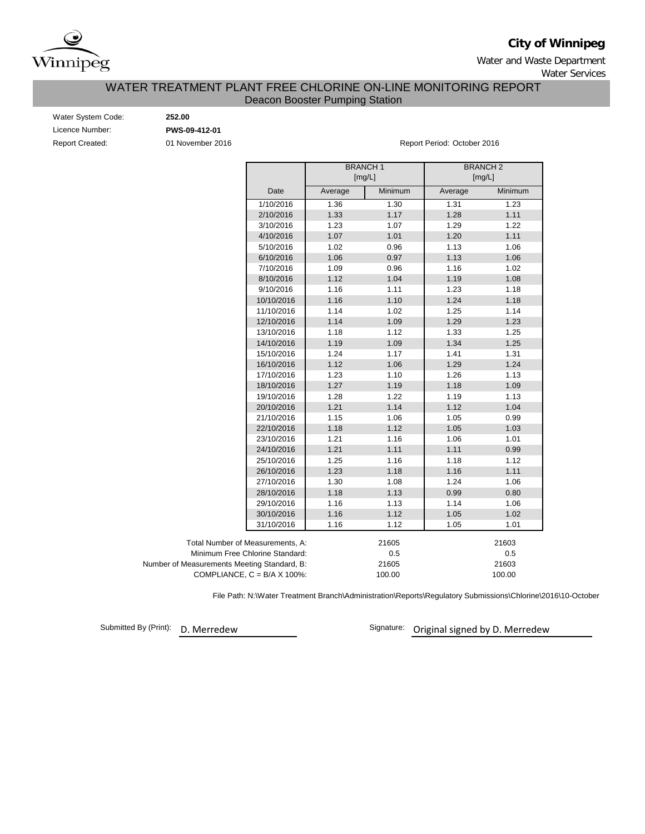

**City of Winnipeg**

Water and Waste Department

Water Services

## Deacon Booster Pumping Station WATER TREATMENT PLANT FREE CHLORINE ON-LINE MONITORING REPORT

Water System Code: **252.00** Licence Number: **PWS-09-412-01**

Report Created: 01 November 2016 Report Period: October 2016

|                                             |         | <b>BRANCH1</b><br>[mg/L] |         | <b>BRANCH2</b><br>[mg/L] |  |  |  |
|---------------------------------------------|---------|--------------------------|---------|--------------------------|--|--|--|
| Date                                        | Average | Minimum                  | Average | Minimum                  |  |  |  |
| 1/10/2016                                   | 1.36    | 1.30                     | 1.31    | 1.23                     |  |  |  |
| 2/10/2016                                   | 1.33    | 1.17                     | 1.28    | 1.11                     |  |  |  |
| 3/10/2016                                   | 1.23    | 1.07                     | 1.29    | 1.22                     |  |  |  |
| 4/10/2016                                   | 1.07    | 1.01                     | 1.20    | 1.11                     |  |  |  |
| 5/10/2016                                   | 1.02    | 0.96                     | 1.13    | 1.06                     |  |  |  |
| 6/10/2016                                   | 1.06    | 0.97                     | 1.13    | 1.06                     |  |  |  |
| 7/10/2016                                   | 1.09    | 0.96                     | 1.16    | 1.02                     |  |  |  |
| 8/10/2016                                   | 1.12    | 1.04                     | 1.19    | 1.08                     |  |  |  |
| 9/10/2016                                   | 1.16    | 1.11                     | 1.23    | 1.18                     |  |  |  |
| 10/10/2016                                  | 1.16    | 1.10                     | 1.24    | 1.18                     |  |  |  |
| 11/10/2016                                  | 1.14    | 1.02                     | 1.25    | 1.14                     |  |  |  |
| 12/10/2016                                  | 1.14    | 1.09                     | 1.29    | 1.23                     |  |  |  |
| 13/10/2016                                  | 1.18    | 1.12                     | 1.33    | 1.25                     |  |  |  |
| 14/10/2016                                  | 1.19    | 1.09                     | 1.34    | 1.25                     |  |  |  |
| 15/10/2016                                  | 1.24    | 1.17                     | 1.41    | 1.31                     |  |  |  |
| 16/10/2016                                  | 1.12    | 1.06                     | 1.29    | 1.24                     |  |  |  |
| 17/10/2016                                  | 1.23    | 1.10                     | 1.26    | 1.13                     |  |  |  |
| 18/10/2016                                  | 1.27    | 1.19                     | 1.18    | 1.09                     |  |  |  |
| 19/10/2016                                  | 1.28    | 1.22                     | 1.19    | 1.13                     |  |  |  |
| 20/10/2016                                  | 1.21    | 1.14                     | 1.12    | 1.04                     |  |  |  |
| 21/10/2016                                  | 1.15    | 1.06                     | 1.05    | 0.99                     |  |  |  |
| 22/10/2016                                  | 1.18    | 1.12                     | 1.05    | 1.03                     |  |  |  |
| 23/10/2016                                  | 1.21    | 1.16                     | 1.06    | 1.01                     |  |  |  |
| 24/10/2016                                  | 1.21    | 1.11                     | 1.11    | 0.99                     |  |  |  |
| 25/10/2016                                  | 1.25    | 1.16                     | 1.18    | 1.12                     |  |  |  |
| 26/10/2016                                  | 1.23    | 1.18                     | 1.16    | 1.11                     |  |  |  |
| 27/10/2016                                  | 1.30    | 1.08                     | 1.24    | 1.06                     |  |  |  |
| 28/10/2016                                  | 1.18    | 1.13                     | 0.99    | 0.80                     |  |  |  |
| 29/10/2016                                  | 1.16    | 1.13                     | 1.14    | 1.06                     |  |  |  |
| 30/10/2016                                  | 1.16    | 1.12                     | 1.05    | 1.02                     |  |  |  |
| 31/10/2016                                  | 1.16    | 1.12                     | 1.05    | 1.01                     |  |  |  |
| Total Number of Measurements, A:            |         | 21605                    |         | 21603                    |  |  |  |
| Minimum Free Chlorine Standard:             |         | 0.5                      | 0.5     |                          |  |  |  |
| Number of Measurements Meeting Standard, B: |         | 21605                    |         | 21603                    |  |  |  |
| COMPLIANCE, $C = B/A \times 100\%$ :        |         | 100.00                   |         | 100.00                   |  |  |  |

File Path: N:\Water Treatment Branch\Administration\Reports\Regulatory Submissions\Chlorine\2016\10-October

Submitted By (Print):

D. Merredew **D. Merredew** Signature: Original signed by D. Merredew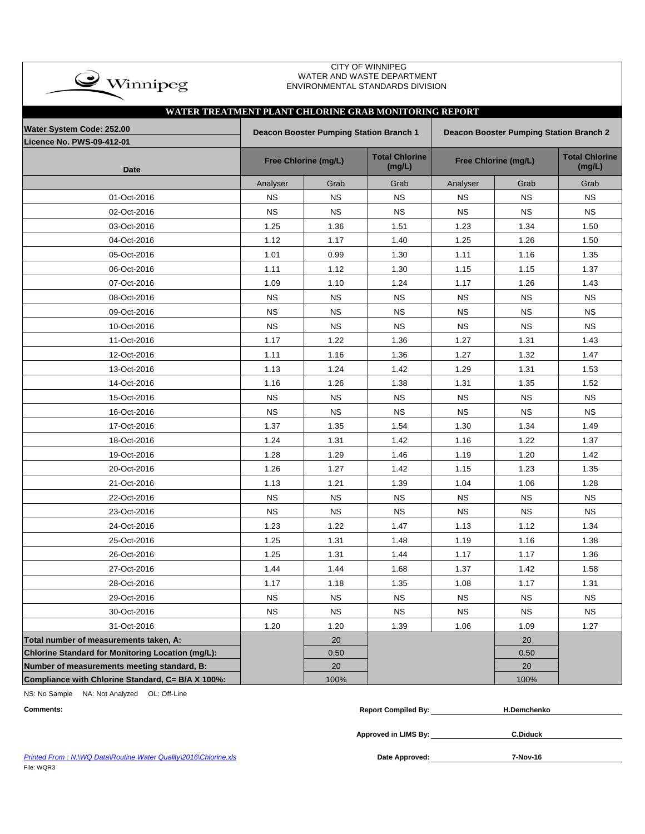| <b>CITY OF WINNIPEG</b><br>WATER AND WASTE DEPARTMENT<br>$\clubsuit$ Winnipeg<br>ENVIRONMENTAL STANDARDS DIVISION<br>WATER TREATMENT PLANT CHLORINE GRAB MONITORING REPORT |           |                                                |                                 |                                         |                      |                                 |  |  |  |  |  |  |  |
|----------------------------------------------------------------------------------------------------------------------------------------------------------------------------|-----------|------------------------------------------------|---------------------------------|-----------------------------------------|----------------------|---------------------------------|--|--|--|--|--|--|--|
|                                                                                                                                                                            |           |                                                |                                 |                                         |                      |                                 |  |  |  |  |  |  |  |
| Water System Code: 252.00<br><b>Licence No. PWS-09-412-01</b>                                                                                                              |           | <b>Deacon Booster Pumping Station Branch 1</b> |                                 | Deacon Booster Pumping Station Branch 2 |                      |                                 |  |  |  |  |  |  |  |
| <b>Date</b>                                                                                                                                                                |           | Free Chlorine (mg/L)                           | <b>Total Chlorine</b><br>(mg/L) |                                         | Free Chlorine (mg/L) | <b>Total Chlorine</b><br>(mg/L) |  |  |  |  |  |  |  |
|                                                                                                                                                                            | Analyser  | Grab                                           | Grab                            | Analyser                                | Grab                 | Grab                            |  |  |  |  |  |  |  |
| 01-Oct-2016                                                                                                                                                                | <b>NS</b> | <b>NS</b>                                      | <b>NS</b>                       | <b>NS</b>                               | <b>NS</b>            | <b>NS</b>                       |  |  |  |  |  |  |  |
| 02-Oct-2016                                                                                                                                                                | <b>NS</b> | <b>NS</b>                                      | <b>NS</b>                       | <b>NS</b>                               | <b>NS</b>            | <b>NS</b>                       |  |  |  |  |  |  |  |
| 03-Oct-2016                                                                                                                                                                | 1.25      | 1.36                                           | 1.51                            | 1.23                                    | 1.34                 | 1.50                            |  |  |  |  |  |  |  |
| 04-Oct-2016                                                                                                                                                                | 1.12      | 1.17                                           | 1.40                            | 1.25                                    | 1.26                 | 1.50                            |  |  |  |  |  |  |  |
| 05-Oct-2016                                                                                                                                                                | 1.01      | 0.99                                           | 1.30                            | 1.11                                    | 1.16                 | 1.35                            |  |  |  |  |  |  |  |
| 06-Oct-2016                                                                                                                                                                | 1.11      | 1.12                                           | 1.30                            | 1.15                                    | 1.15                 | 1.37                            |  |  |  |  |  |  |  |
| 07-Oct-2016                                                                                                                                                                | 1.09      | 1.10                                           | 1.24                            | 1.17                                    | 1.26                 | 1.43                            |  |  |  |  |  |  |  |
| 08-Oct-2016                                                                                                                                                                | <b>NS</b> | <b>NS</b>                                      | <b>NS</b>                       | <b>NS</b>                               | <b>NS</b>            | <b>NS</b>                       |  |  |  |  |  |  |  |
| 09-Oct-2016                                                                                                                                                                | <b>NS</b> | <b>NS</b>                                      | <b>NS</b>                       | <b>NS</b>                               | <b>NS</b>            | <b>NS</b>                       |  |  |  |  |  |  |  |
| 10-Oct-2016                                                                                                                                                                | <b>NS</b> | ΝS                                             | <b>NS</b>                       | NS.                                     | <b>NS</b>            | <b>NS</b>                       |  |  |  |  |  |  |  |
| 11-Oct-2016                                                                                                                                                                | 1.17      | 1.22                                           | 1.36                            | 1.27                                    | 1.31                 | 1.43                            |  |  |  |  |  |  |  |
| 12-Oct-2016                                                                                                                                                                | 1.11      | 1.16                                           | 1.36                            | 1.27                                    | 1.32                 | 1.47                            |  |  |  |  |  |  |  |
| 13-Oct-2016                                                                                                                                                                | 1.13      | 1.24                                           | 1.42                            | 1.29                                    | 1.31                 | 1.53                            |  |  |  |  |  |  |  |
| 14-Oct-2016                                                                                                                                                                | 1.16      | 1.26                                           | 1.38                            | 1.31                                    | 1.35                 | 1.52                            |  |  |  |  |  |  |  |
| 15-Oct-2016                                                                                                                                                                | <b>NS</b> | <b>NS</b>                                      | <b>NS</b>                       | <b>NS</b>                               | <b>NS</b>            | <b>NS</b>                       |  |  |  |  |  |  |  |
| 16-Oct-2016                                                                                                                                                                | <b>NS</b> | <b>NS</b>                                      | <b>NS</b>                       | <b>NS</b>                               | <b>NS</b>            | <b>NS</b>                       |  |  |  |  |  |  |  |
| 17-Oct-2016                                                                                                                                                                | 1.37      | 1.35                                           | 1.54                            | 1.30                                    | 1.34                 | 1.49                            |  |  |  |  |  |  |  |
| 18-Oct-2016                                                                                                                                                                | 1.24      | 1.31                                           | 1.42                            | 1.16                                    | 1.22                 | 1.37                            |  |  |  |  |  |  |  |
| 19-Oct-2016                                                                                                                                                                | 1.28      | 1.29                                           | 1.46                            | 1.19                                    | 1.20                 | 1.42                            |  |  |  |  |  |  |  |
| 20-Oct-2016                                                                                                                                                                | 1.26      | 1.27                                           | 1.42                            | 1.15                                    | 1.23                 | 1.35                            |  |  |  |  |  |  |  |
| 21-Oct-2016                                                                                                                                                                | 1.13      | 1.21                                           | 1.39                            | 1.04                                    | 1.06                 | 1.28                            |  |  |  |  |  |  |  |
| 22-Oct-2016                                                                                                                                                                | <b>NS</b> | <b>NS</b>                                      | <b>NS</b>                       | <b>NS</b>                               | <b>NS</b>            | <b>NS</b>                       |  |  |  |  |  |  |  |
| 23-Oct-2016                                                                                                                                                                | <b>NS</b> | <b>NS</b>                                      | <b>NS</b>                       | <b>NS</b>                               | <b>NS</b>            | <b>NS</b>                       |  |  |  |  |  |  |  |
| 24-Oct-2016                                                                                                                                                                | 1.23      | 1.22                                           | 1.47                            | 1.13                                    | 1.12                 | 1.34                            |  |  |  |  |  |  |  |
| 25-Oct-2016                                                                                                                                                                | 1.25      | 1.31                                           | 1.48                            | 1.19                                    | 1.16                 | 1.38                            |  |  |  |  |  |  |  |
| 26-Oct-2016                                                                                                                                                                | 1.25      | 1.31                                           | 1.44                            | 1.17                                    | 1.17                 | 1.36                            |  |  |  |  |  |  |  |
| 27-Oct-2016                                                                                                                                                                | 1.44      | 1.44                                           | 1.68                            | 1.37                                    | 1.42                 | 1.58                            |  |  |  |  |  |  |  |
| 28-Oct-2016                                                                                                                                                                | 1.17      | 1.18                                           | 1.35                            | 1.08                                    | 1.17                 | 1.31                            |  |  |  |  |  |  |  |
| 29-Oct-2016                                                                                                                                                                | <b>NS</b> | <b>NS</b>                                      | <b>NS</b>                       | <b>NS</b>                               | <b>NS</b>            | <b>NS</b>                       |  |  |  |  |  |  |  |
| 30-Oct-2016                                                                                                                                                                | <b>NS</b> | <b>NS</b>                                      | <b>NS</b>                       | <b>NS</b>                               | <b>NS</b>            | <b>NS</b>                       |  |  |  |  |  |  |  |
| 31-Oct-2016                                                                                                                                                                | 1.20      | 1.20                                           | 1.39                            | 1.06                                    | 1.09                 | 1.27                            |  |  |  |  |  |  |  |
| Total number of measurements taken, A:                                                                                                                                     |           | 20                                             |                                 |                                         | 20                   |                                 |  |  |  |  |  |  |  |
| Chlorine Standard for Monitoring Location (mg/L):                                                                                                                          |           | 0.50                                           |                                 |                                         | 0.50                 |                                 |  |  |  |  |  |  |  |
| Number of measurements meeting standard, B:                                                                                                                                |           | 20                                             |                                 |                                         | 20                   |                                 |  |  |  |  |  |  |  |
| Compliance with Chlorine Standard, C= B/A X 100%:                                                                                                                          |           | 100%                                           |                                 |                                         | 100%                 |                                 |  |  |  |  |  |  |  |

NS: No Sample NA: Not Analyzed OL: Off-Line

| <b>Comments:</b> | <b>Report Compiled By:</b> | <b>H.Demchenko</b> |
|------------------|----------------------------|--------------------|
|                  |                            |                    |
|                  | Approved in LIMS By:       | C.Diduck           |

**Printed From : N:\WQ Data\Routine Water Quality\2016\Chlorine.xls** File: WQR3

Date Approved: 7-Nov-16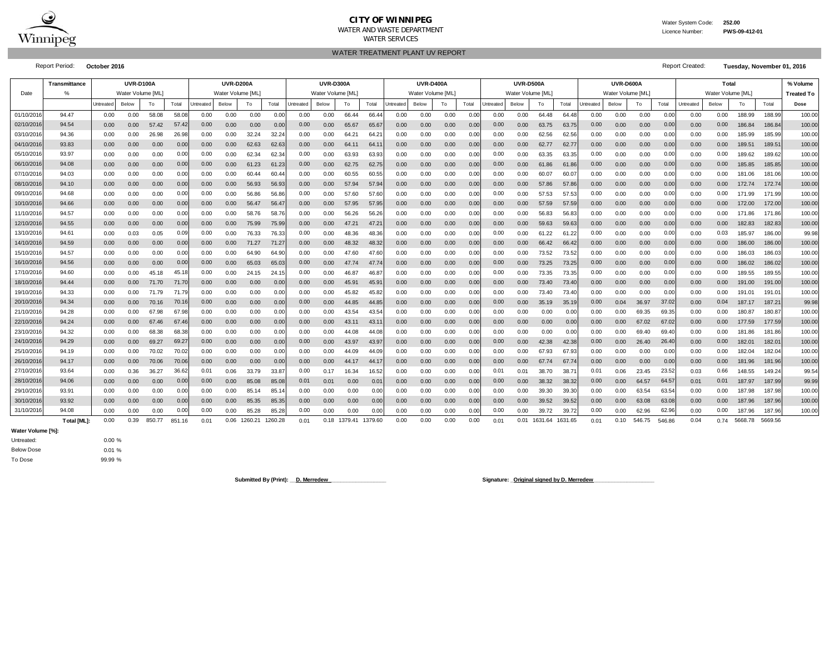

#### **CITY OF WINNIPEG**WATER AND WASTE DEPARTMENT

WATER TREATMENT PLANT UV REPORT

 Licence Number:**PWS-09-412-01**

Report Period: **October 2016** Report Created: **Tuesday, November 01, 2016**

|                   | <b>Transmittance</b> |           | UVR-D100A         |        |        |                   | <b>UVR-D200A</b> |           |         |           | <b>UVR-D300A</b>  |         |                |           | <b>UVR-D400A</b>  |      |       |           | UVR-D500A         |         |         |           | UVR-D600A         |        |        | Total     |                   |         |         | % Volume          |
|-------------------|----------------------|-----------|-------------------|--------|--------|-------------------|------------------|-----------|---------|-----------|-------------------|---------|----------------|-----------|-------------------|------|-------|-----------|-------------------|---------|---------|-----------|-------------------|--------|--------|-----------|-------------------|---------|---------|-------------------|
| Date              | %                    |           | Water Volume [ML] |        |        |                   | Water Volume [ML |           |         |           | Water Volume [ML] |         |                |           | Water Volume [ML] |      |       |           | Water Volume [ML] |         |         |           | Water Volume [ML] |        |        |           | Water Volume [ML] |         |         | <b>Treated To</b> |
|                   |                      | Untreated | Below             | To     | Total  | Untreated         | Below            | To        | Total   | Untreated | Below             | To      | Total          | Untreated | Below             | To   | Total | Untreated | Below             | To      | Total   | Untreated | Below             | To     | Total  | Untreated | Below             | To      | Total   | Dose              |
| 01/10/201         | 94.47                | 0.00      | 0.00              | 58.08  | 58.0   | 0.00              | 0.00             | 0.00      | 0.0     | 0.00      | 0.00              | 66.44   | 66.4           | 0.00      | 0.00              | 0.00 | 0.00  | 0.00      | 0.00              | 64.48   | 64.48   | 0.00      | 0.00              | 0.00   | 0.0    | 0.00      | 0.00              | 188.99  | 188.9   | 100.00            |
| 02/10/201         | 94.54                | 0.00      | 0.00              | 57.42  | 57.4   | 0.00              | 0.00             | 0.00      | 0.00    | 0.00      | 0.00              | 65.67   | 65.67          | 0.00      | 0.00              | 0.00 | 0.00  | 0.00      | 0.00              | 63.75   | 63.75   | 0.00      | 0.00              | 0.00   | 0.00   | 0.00      | 0.00              | 186.84  | 186.84  | 100.00            |
| 03/10/201         | 94.36                | 0.00      | 0.00              | 26.98  | 26.9   | 0.00              | 0.00             | 32.24     | 32.2    | 0.00      | 0.00              | 64.21   | 64.2'          | 0.00      | 0.00              | 0.00 | 0.00  | 0.00      | 0.00              | 62.56   | 62.56   | 0.00      | 0.00              | 0.00   | 0.00   | 0.00      | 0.00              | 185.99  | 185.99  | 100.00            |
| 04/10/201         | 93.83                | 0.00      | 0.00              | 0.00   | 0.00   | 0.00 <sub>1</sub> | 0.00             | 62.63     | 62.6    | 0.00      | 0.00              | 64.11   | 64.1           | 0.00      | 0.00              | 0.00 | 0.00  | 0.00      | 0.00              | 62.77   | 62.77   | 0.00      | 0.00              | 0.00   | 0.00   | 0.00      | 0.00              | 189.51  | 189.5'  | 100.00            |
| 05/10/201         | 93.97                | 0.00      | 0.00              | 0.00   | 0.0    | 0.00              | 0.00             | 62.34     | 62.3    | 0.00      | 0.00              | 63.93   | 63.93          | 0.00      | 0.00              | 0.00 | 0.00  | 0.00      | 0.00              | 63.35   | 63.35   | 0.00      | 0.00              | 0.00   | 0.00   | 0.00      | 0.00              | 189.62  | 189.62  | 100.00            |
| 06/10/201         | 94.08                | 0.00      | 0.00              | 0.00   | 0.00   | 0.00 <sub>1</sub> | 0.00             | 61.23     | 61.2    | 0.00      | 0.00              | 62.75   | 62.75          | 0.00      | 0.00              | 0.00 | 0.00  | 0.00      | 0.00              | 61.86   | 61.86   | 0.00      | 0.00              | 0.00   | 0.00   | 0.00      | 0.00              | 185.85  | 185.85  | 100.00            |
| 07/10/201         | 94.03                | 0.00      | 0.00              | 0.00   | 0.0    | 0.00              | 0.00             | 60.44     | 60.4    | 0.00      | 0.00              | 60.55   | 60.55          | 0.00      | 0.00              | 0.00 | 0.00  | 0.00      | 0.00              | 60.07   | 60.07   | 0.00      | 0.00              | 0.00   | 0.00   | 0.00      | 0.00              | 181.06  | 181.06  | 100.00            |
| 08/10/201         | 94.10                | 0.00      | 0.00              | 0.00   | 0.00   | 0.00              | 0.00             | 56.93     | 56.93   | 0.00      | 0.00              | 57.94   | 57.94          | 0.00      | 0.00              | 0.00 | 0.00  | 0.00      | 0.00              | 57.86   | 57.86   | 0.00      | 0.00              | 0.00   | 0.00   | 0.00      | 0.00              | 172.74  | 172.74  | 100.00            |
| 09/10/201         | 94.68                | 0.00      | 0.00              | 0.00   | 0.00   | 0.00              | 0.00             | 56.86     | 56.8    | 0.00      | 0.00              | 57.60   | 57.60          | 0.00      | 0.00              | 0.00 | 0.00  | 0.00      | 0.00              | 57.53   | 57.53   | 0.00      | 0.00              | 0.00   | 0.00   | 0.00      | 0.00              | 171.99  | 171.99  | 100.00            |
| 10/10/201         | 94.66                | 0.00      | 0.00              | 0.00   | 0.00   | 0.00              | 0.00             | 56.47     | 56.4    | 0.00      | 0.00              | 57.95   | 57.95          | 0.00      | 0.00              | 0.00 | 0.00  | 0.00      | 0.00              | 57.59   | 57.59   | 0.00      | 0.00              | 0.00   | 0.00   | 0.00      | 0.00              | 172.00  | 172.00  | 100.00            |
| 11/10/201         | 94.57                | 0.00      | 0.00              | 0.00   | 0.00   | 0.00              | 0.00             | 58.<br>76 | 58.7    | 0.00      | 0.00              | 56.26   | 56.26          | 0.00      | 0.00              | 0.00 | 0.00  | 0.00      | 0.00              | 56.83   | 56.83   | 0.00      | 0.00              | 0.00   | 0.00   | 0.00      | 0.00              | 171.86  | 171.86  | 100.00            |
| 12/10/201         | 94.55                | 0.00      | 0.00              | 0.00   | 0.00   | 0.00              | 0.00             | 75.99     | 75.9    | 0.00      | 0.00              | 47.21   | $47.2^{\circ}$ | 0.00      | 0.00              | 0.00 | 0.00  | 0.00      | 0.00              | 59.63   | 59.63   | 0.00      | 0.00              | 0.00   | 0.00   | 0.00      | 0.00              | 182.83  | 182.8   | 100.00            |
| 13/10/201         | 94.61                | 0.00      | 0.03              | 0.05   | 0.0    | 0.00              | 0.00             | 76.33     | 76.3    | 0.00      | 0.00              | 48.36   | 48.36          | 0.00      | 0.00              | 0.00 | 0.00  | 0.00      | 0.00              | 61.22   | 61.22   | 0.00      | 0.00              | 0.00   | 0.00   | 0.00      | 0.03              | 185.97  | 186.00  | 99.98             |
| 14/10/201         | 94.59                | 0.00      | 0.00              | 0.00   | 0.0(   | 0.00              | 0.00             | 71.27     | 71.2    | 0.00      | 0.00              | 48.32   | 48.32          | 0.00      | 0.00              | 0.00 | 0.00  | 0.00      | 0.00              | 66.42   | 66.42   | 0.00      | 0.00              | 0.00   | 0.00   | 0.00      | 0.00              | 186.00  | 186.00  | 100.00            |
| 15/10/201         | 94.57                | 0.00      | 0.00              | 0.00   | 0.0    | 0.00              | 0.00             | 64.90     | 64.9    | 0.00      | 0.00              | 47.60   | 47.6           | 0.00      | 0.00              | 0.00 | 0.00  | 0.00      | 0.00              | 73.52   | 73.52   | 0.00      | 0.00              | 0.00   | 0.00   | 0.00      | 0.00              | 186.03  | 186.0   | 100.00            |
| 16/10/201         | 94.56                | 0.00      | 0.00              | 0.00   | 0.00   | 0.00              | 0.00             | 65.03     | 65.0    | 0.00      | 0.00              | 47.74   | 47.7           | 0.00      | 0.00              | 0.00 | 0.00  | 0.00      | 0.00              | 73.25   | 73.25   | 0.00      | 0.00              | 0.00   | 0.00   | 0.00      | 0.00              | 186.02  | 186.02  | 100.00            |
| 17/10/201         | 94.60                | 0.00      | 0.00              | 45.18  | 45.1   | 0.00              | 0.00             | 24.15     | 24.7    | 0.00      | 0.00              | 46.87   | 46.87          | 0.00      | 0.00              | 0.00 | 0.00  | 0.00      | 0.00              | 73.35   | 73.35   | 0.00      | 0.00              | 0.00   | 0.0    | 0.00      | 0.00              | 189.55  | 189.55  | 100.00            |
| 18/10/201         | 94.44                | 0.00      | 0.00              | 71.70  | 71.7   | 0.00              | 0.00             | 0.00      | 0.0     | 0.00      | 0.00              | 45.91   | 45.9'          | 0.00      | 0.00              | 0.00 | 0.00  | $0.00\,$  | 0.00              | 73.40   | 73.40   | 0.00      | 0.00              | 0.00   | 0.01   | 0.00      | 0.00              | 191.00  | 191.00  | 100.00            |
| 19/10/201         | 94.33                | 0.00      | 0.00              | 71.79  | 71.7   | 0.00              | 0.00             | 0.00      | 0.00    | 0.00      | 0.00              | 45.82   | 45.82          | 0.00      | 0.00              | 0.00 | 0.00  | 0.00      | 0.00              | 73.40   | 73.40   | 0.00      | 0.00              | 0.00   | 0.0    | 0.00      | 0.00              | 191.01  | 191.0   | 100.00            |
| 20/10/201         | 94.34                | 0.00      | 0.00              | 70.16  | 70.1   | 0.00              | 0.00             | 0.00      | 0.0(    | 0.00      | 0.00              | 44.85   | 44.85          | 0.00      | 0.00              | 0.00 | 0.00  | 0.00      | 0.00              | 35.19   | 35.19   | 0.00      | 0.04              | 36.97  | 37.02  | 0.00      | 0.04              | 187.17  | 187.2   | 99.98             |
| 21/10/201         | 94.28                | 0.00      | 0.00              | 67.98  | 67.9   | 0.00              | 0.00             | 0.00      | 0.00    | 0.00      | 0.00              | 43.54   | 43.54          | 0.00      | 0.00              | 0.00 | 0.00  | 0.00      | 0.00              | 0.00    | 0.00    | 0.00      | 0.00              | 69.35  | 69.35  | 0.00      | 0.00              | 180.87  | 180.87  | 100.00            |
| 22/10/201         | 94.24                | 0.00      | 0.00              | 67.46  | 67.4   | 0.00              | 0.00             | 0.00      | 0.00    | 0.00      | 0.00              | 43.11   | 43.1           | 0.00      | 0.00              | 0.00 | 0.00  | 0.00      | 0.00              | 0.00    | 0.00    | 0.00      | 0.00              | 67.02  | 67.0   | 0.00      | 0.00              | 177.59  | 177.59  | 100.00            |
| 23/10/201         | 94.32                | 0.00      | 0.00              | 68.38  | 68.3   | 0.00              | 0.00             | 0.00      | 0.0     | 0.00      | 0.00              | 44.08   | 44.08          | 0.00      | 0.00              | 0.00 | 0.00  | 0.00      | 0.00              | 0.00    | 0.00    | 0.00      | 0.00              | 69.40  | 69.4   | 0.00      | 0.00              | 181.86  | 181.86  | 100.00            |
| 24/10/201         | 94.29                | 0.00      | 0.00              | 69.27  | 69.2   | 0.00              | 0.00             | 0.00      | 0.00    | 0.00      | 0.00              | 43.97   | 43.97          | 0.00      | 0.00              | 0.00 | 0.00  | 0.00      | 0.00              | 42.38   | 42.38   | 0.00      | 0.00              | 26.40  | 26.4   | 0.00      | 0.00              | 182.01  | 182.0   | 100.00            |
| 25/10/201         | 94.19                | 0.00      | 0.00              | 70.02  | 70.0   | 0.00              | 0.00             | 0.00      | 0.00    | 0.00      | 0.00              | 44.09   | 44.09          | 0.00      | 0.00              | 0.00 | 0.00  | 0.00      | 0.00              | 67.93   | 67.93   | 0.00      | 0.00              | 0.00   | 0.00   | 0.00      | 0.00              | 182.04  | 182.04  | 100.00            |
| 26/10/201         | 94.17                | 0.00      | 0.00              | 70.06  | 70.0   | 0.00              | 0.00             | 0.00      | 0.00    | 0.00      | 0.00              | 44.17   | 44.1           | 0.00      | 0.00              | 0.00 | 0.00  | 0.00      | 0.00              | 67.74   | 67.74   | 0.00      | 0.00              | 0.00   | 0.00   | 0.00      | 0.00              | 181.96  | 181.96  | 100.00            |
| 27/10/201         | 93.64                | 0.00      | 0.36              | 36.27  | 36.6   | 0.01              | 0.06             | 33.79     | 33.8    | 0.00      | 0.17              | 16.34   | 16.52          | 0.00      | 0.00              | 0.00 | 0.00  | 0.01      | 0.01              | 38.70   | 38.7    | 0.01      | 0.06              | 23.45  | 23.52  | 0.03      | 0.66              | 148.55  | 149.2   | 99.54             |
| 28/10/201         | 94.06                | 0.00      | 0.00              | 0.00   | 0.00   | 0.00              | 0.00             | 85.08     | 85.0    | 0.01      | 0.01              | 0.00    | $0.0^{\circ}$  | 0.00      | 0.00              | 0.00 | 0.00  | 0.00      | 0.00              | 38.32   | 38.32   | 0.00      | 0.00              | 64.57  | 64.5   | 0.01      | 0.01              | 187.97  | 187.99  | 99.99             |
| 29/10/201         | 93.91                | 0.00      | 0.00              | 0.00   | 0.0    | 0.00              | 0.00             | 85.7      | 85.1    | 0.00      | 0.00              | 0.00    | 0.00           | 0.00      | 0.00              | 0.00 | 0.00  | 0.00      | 0.00              | 39.30   | 39.30   | 0.00      | 0.00              | 63.54  | 63.5   | 0.00      | 0.00              | 187.98  | 187.98  | 100.00            |
| 30/10/201         | 93.92                | 0.00      | 0.00              | 0.00   | 0.00   | 0.00              | 0.00             | 85.35     | 85.3    | 0.00      | 0.00              | 0.00    | 0.00           | 0.00      | 0.00              | 0.00 | 0.00  | 0.00      | 0.00              | 39.52   | 39.52   | 0.00      | 0.00              | 63.08  | 63.08  | 0.00      | 0.00              | 187.96  | 187.96  | 100.00            |
| 31/10/201         | 94.08                | 0.00      | 0.00              | 0.00   | 0.0    | 0.00              | 0.00             | 85.28     | 85.2    | 0.00      | 0.00              | 0.00    | 0.00           | 0.00      | 0.00              | 0.00 | 0.00  | 0.00      | 0.00              | 39.72   | 39.72   | 0.00      | 0.00              | 62.96  | 62.9   | 0.00      | 0.00              | 187.96  | 187.96  | 100.00            |
|                   | Total [ML]:          | 0.00      | 0.39              | 850.77 | 851.16 | 0.01              | 0.06             | 1260.21   | 1260.28 | 0.01      | 0.18              | 1379.41 | 1379.60        | 0.00      | 0.00              | 0.00 | 0.00  | 0.01      | 0.01              | 1631.64 | 1631.65 | 0.01      | 0.10              | 546.75 | 546.86 | 0.04      | 0.74              | 5668.78 | 5669.56 |                   |
| Water Volume [%]: |                      |           |                   |        |        |                   |                  |           |         |           |                   |         |                |           |                   |      |       |           |                   |         |         |           |                   |        |        |           |                   |         |         |                   |

0.00 %0.01 %Below DoseUntreated:

99.99 %

To Dose

Submitted By (Print): <u>D. Merredew</u> **Communication Communication Communication Communication Communication Communication Communication Communication Communication Communication Communication Communication Communication Com**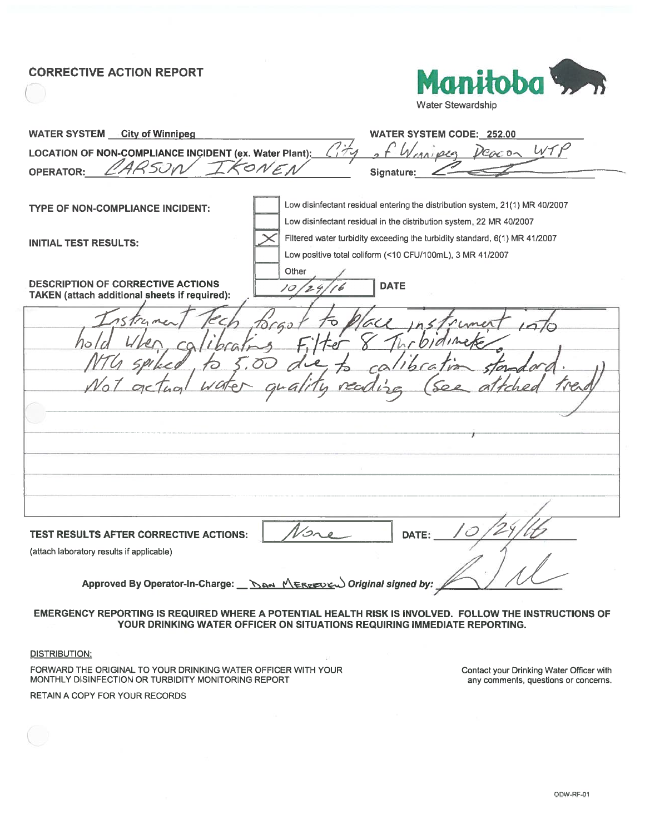## **CORRECTIVE ACTION REPORT**



Water Stewardship

| <b>WATER SYSTEM City of Winnipeg</b>                                                      | WATER SYSTEM CODE: 252.00                                                    |
|-------------------------------------------------------------------------------------------|------------------------------------------------------------------------------|
| LOCATION OF NON-COMPLIANCE INCIDENT (ex. Water Plant):                                    | WT<br>رها<br>1301025<br>DEEN ON                                              |
| ARSON<br><b>OPERATOR:</b>                                                                 | Signature:                                                                   |
|                                                                                           |                                                                              |
| <b>TYPE OF NON-COMPLIANCE INCIDENT:</b>                                                   | Low disinfectant residual entering the distribution system, 21(1) MR 40/2007 |
|                                                                                           | Low disinfectant residual in the distribution system, 22 MR 40/2007          |
| <b>INITIAL TEST RESULTS:</b>                                                              | Filtered water turbidity exceeding the turbidity standard, 6(1) MR 41/2007   |
|                                                                                           | Low positive total coliform (<10 CFU/100mL), 3 MR 41/2007                    |
|                                                                                           | Other                                                                        |
| <b>DESCRIPTION OF CORRECTIVE ACTIONS</b><br>TAKEN (attach additional sheets if required): | <b>DATE</b><br>10                                                            |
|                                                                                           |                                                                              |
|                                                                                           |                                                                              |
|                                                                                           |                                                                              |
|                                                                                           |                                                                              |
|                                                                                           |                                                                              |
|                                                                                           |                                                                              |
|                                                                                           |                                                                              |
|                                                                                           |                                                                              |
|                                                                                           |                                                                              |
|                                                                                           |                                                                              |
|                                                                                           |                                                                              |
|                                                                                           |                                                                              |
|                                                                                           |                                                                              |
| TEST RESULTS AFTER CORRECTIVE ACTIONS:                                                    | DATE:                                                                        |
| (attach laboratory results if applicable)                                                 |                                                                              |
|                                                                                           |                                                                              |
| Approved By Operator-In-Charge: here MERPEDEW Original signed by:                         |                                                                              |
|                                                                                           |                                                                              |
|                                                                                           |                                                                              |

#### EMERGENCY REPORTING IS REQUIRED WHERE A POTENTIAL HEALTH RISK IS INVOLVED. FOLLOW THE INSTRUCTIONS OF YOUR DRINKING WATER OFFICER ON SITUATIONS REQUIRING IMMEDIATE REPORTING.

**DISTRIBUTION:** 

FORWARD THE ORIGINAL TO YOUR DRINKING WATER OFFICER WITH YOUR MONTHLY DISINFECTION OR TURBIDITY MONITORING REPORT

RETAIN A COPY FOR YOUR RECORDS

Contact your Drinking Water Officer with any comments, questions or concerns.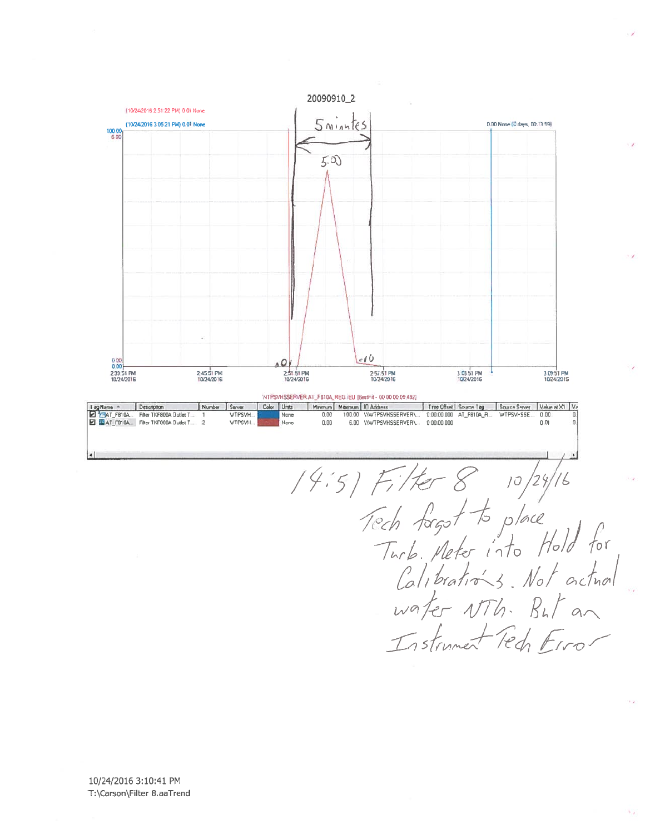

14:5) Filter 8 10/24/16<br>Tech forgot to place<br>Turb. Meter into Hold for<br>Calibrations. Not actual<br>water NTh. But an<br>Instrument Fedi Error

 $\mathcal{N}_{\mathcal{A}}$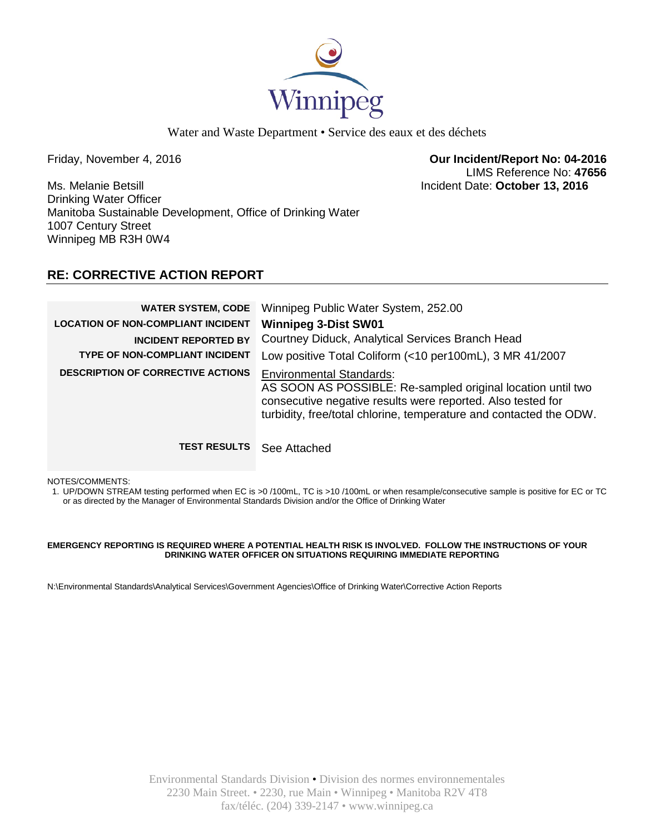

Water and Waste Department • Service des eaux et des déchets

Friday, November 4, 2016 **Our Incident/Report No: 04-2016** LIMS Reference No: **47656**

Ms. Melanie Betsill Incident Date: **October 13, 2016** Drinking Water Officer Manitoba Sustainable Development, Office of Drinking Water 1007 Century Street Winnipeg MB R3H 0W4

## **RE: CORRECTIVE ACTION REPORT**

| <b>WATER SYSTEM, CODE</b><br><b>LOCATION OF NON-COMPLIANT INCIDENT</b><br><b>INCIDENT REPORTED BY</b><br>TYPE OF NON-COMPLIANT INCIDENT | Winnipeg Public Water System, 252.00<br><b>Winnipeg 3-Dist SW01</b><br>Courtney Diduck, Analytical Services Branch Head<br>Low positive Total Coliform (<10 per100mL), 3 MR 41/2007                                                 |
|-----------------------------------------------------------------------------------------------------------------------------------------|-------------------------------------------------------------------------------------------------------------------------------------------------------------------------------------------------------------------------------------|
| <b>DESCRIPTION OF CORRECTIVE ACTIONS</b>                                                                                                | <b>Environmental Standards:</b><br>AS SOON AS POSSIBLE: Re-sampled original location until two<br>consecutive negative results were reported. Also tested for<br>turbidity, free/total chlorine, temperature and contacted the ODW. |
| <b>TEST RESULTS</b>                                                                                                                     | See Attached                                                                                                                                                                                                                        |

NOTES/COMMENTS:

1. UP/DOWN STREAM testing performed when EC is >0 /100mL, TC is >10 /100mL or when resample/consecutive sample is positive for EC or TC or as directed by the Manager of Environmental Standards Division and/or the Office of Drinking Water

#### **EMERGENCY REPORTING IS REQUIRED WHERE A POTENTIAL HEALTH RISK IS INVOLVED. FOLLOW THE INSTRUCTIONS OF YOUR DRINKING WATER OFFICER ON SITUATIONS REQUIRING IMMEDIATE REPORTING**

N:\Environmental Standards\Analytical Services\Government Agencies\Office of Drinking Water\Corrective Action Reports